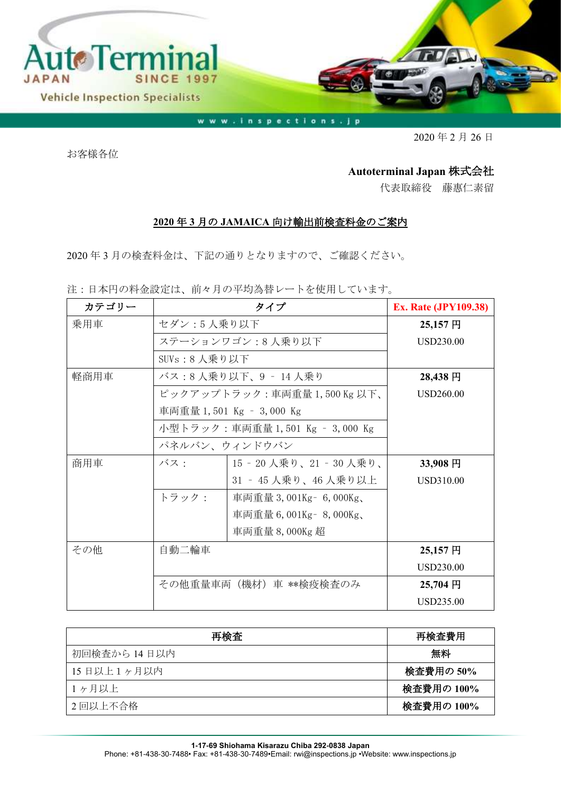

www.inspections.jp

2020 年 2 月 26 日

お客様各位

## **Autoterminal Japan** 株式会社

代表取締役 藤惠仁素留

## **2020** 年 **3** 月の **JAMAICA** 向け輸出前検査料金のご案内

2020 年 3 月の検査料金は、下記の通りとなりますので、ご確認ください。

注:日本円の料金設定は、前々月の平均為替レートを使用しています。

| カテゴリー | タイプ                                              |                           | <b>Ex. Rate (JPY109.38)</b> |
|-------|--------------------------------------------------|---------------------------|-----------------------------|
| 乗用車   | セダン:5人乗り以下                                       |                           | 25,157円                     |
|       |                                                  | ステーションワゴン:8人乗り以下          | <b>USD230.00</b>            |
|       | SUVs:8 人乗り以下                                     |                           |                             |
| 軽商用車  | バス:8人乗り以下、9 - 14人乗り                              |                           | 28,438 円                    |
|       |                                                  | ピックアップトラック:車両重量1,500Kg以下、 | USD260.00                   |
|       |                                                  | 車両重量 1,501 Kg – 3,000 Kg  |                             |
|       | 小型トラック:車両重量 1,501 Kg – 3,000 Kg<br>パネルバン、ウィンドウバン |                           |                             |
|       |                                                  |                           |                             |
| 商用車   | バス:                                              | 15‐20 人乗り、21‐30 人乗り、      | 33,908円                     |
|       |                                                  | 31 - 45 人乗り、46 人乗り以上      | USD310.00                   |
|       | トラック:                                            | 車両重量 3,001Kg – 6,000Kg、   |                             |
|       |                                                  | 車両重量 6,001Kg - 8,000Kg、   |                             |
|       |                                                  | 車両重量 8,000Kg 超            |                             |
| その他   | 自動二輪車                                            |                           | 25,157円                     |
|       |                                                  |                           | <b>USD230.00</b>            |
|       | その他重量車両(機材)車 **検疫検査のみ                            |                           | 25,704 円                    |
|       |                                                  |                           | USD235.00                   |

| 再検査          | 再検査費用      |
|--------------|------------|
| 初回検査から 14日以内 | 無料         |
| 15日以上1ヶ月以内   | 検査費用の 50%  |
| 1ヶ月以上        | 検査費用の 100% |
| 2 回以上不合格     | 検査費用の 100% |